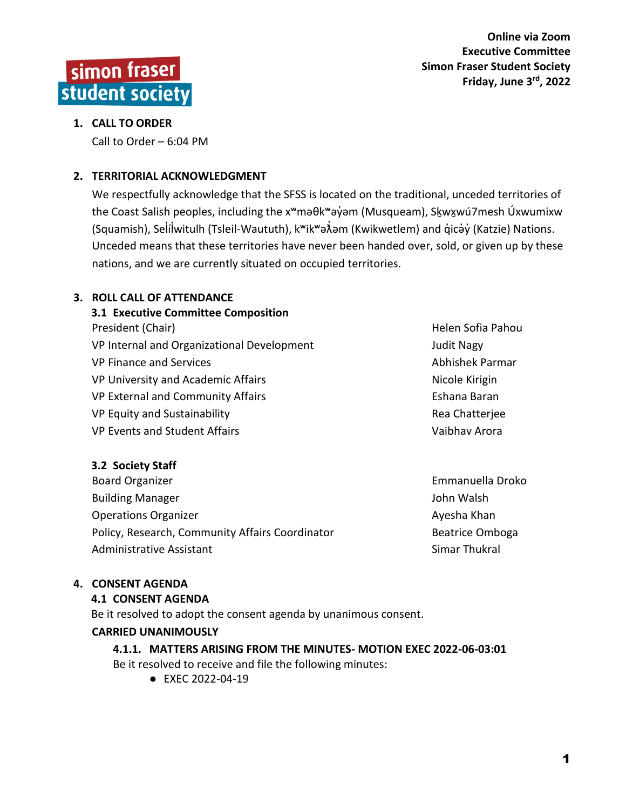

# **1. CALL TO ORDER**

Call to Order – 6:04 PM

# **2. TERRITORIAL ACKNOWLEDGMENT**

We respectfully acknowledge that the SFSS is located on the traditional, unceded territories of the Coast Salish peoples, including the x<sup>w</sup>məθk<sup>w</sup>əỷəm (Musqueam), Sk្wχwú7mesh Úxwumixw (Squamish), Selí̓lwitulh (Tsleil ̓ -Waututh), kʷikʷəƛ̓əm (Kwikwetlem) and q̓icə̓y̓(Katzie) Nations. Unceded means that these territories have never been handed over, sold, or given up by these nations, and we are currently situated on occupied territories.

# **3. ROLL CALL OF ATTENDANCE**

**3.1 Executive Committee Composition** President (Chair) **Helen Sofia Pahou Helen Sofia Pahou** VP Internal and Organizational Development Theorem 30 Judit Nagy VP Finance and Services Abhishek Parmar VP University and Academic Affairs Nicole Kirigin VP External and Community Affairs **External Accommunity Affairs** Eshana Baran VP Equity and Sustainability **Example 20** and the Chatteries and The Rea Chatterjee VP Events and Student Affairs Vaibhav Arora

# **3.2 Society Staff**

Board Organizer **Emmanuella Droko** Building Manager **John Walsh** Operations Organizer Ayes and the Control of the Ayesha Khan Policy, Research, Community Affairs Coordinator **Beatrice Omboga** Administrative Assistant National Simar Thukral

# **4. CONSENT AGENDA**

# **4.1 CONSENT AGENDA**

Be it resolved to adopt the consent agenda by unanimous consent.

# **CARRIED UNANIMOUSLY**

**4.1.1. MATTERS ARISING FROM THE MINUTES- MOTION EXEC 2022-06-03:01** Be it resolved to receive and file the following minutes:

● EXEC 2022-04-19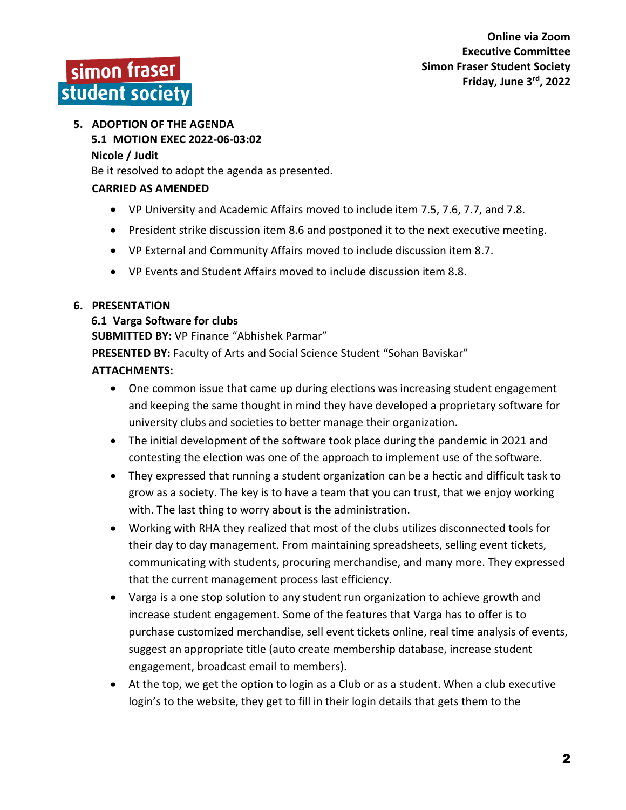

# **5. ADOPTION OF THE AGENDA**

**5.1 MOTION EXEC 2022-06-03:02**

#### **Nicole / Judit**

Be it resolved to adopt the agenda as presented.

#### **CARRIED AS AMENDED**

- VP University and Academic Affairs moved to include item 7.5, 7.6, 7.7, and 7.8.
- President strike discussion item 8.6 and postponed it to the next executive meeting.
- VP External and Community Affairs moved to include discussion item 8.7.
- VP Events and Student Affairs moved to include discussion item 8.8.

#### **6. PRESENTATION**

#### **6.1 Varga Software for clubs**

**SUBMITTED BY:** VP Finance "Abhishek Parmar"

**PRESENTED BY:** Faculty of Arts and Social Science Student "Sohan Baviskar"

#### **ATTACHMENTS:**

- One common issue that came up during elections was increasing student engagement and keeping the same thought in mind they have developed a proprietary software for university clubs and societies to better manage their organization.
- The initial development of the software took place during the pandemic in 2021 and contesting the election was one of the approach to implement use of the software.
- They expressed that running a student organization can be a hectic and difficult task to grow as a society. The key is to have a team that you can trust, that we enjoy working with. The last thing to worry about is the administration.
- Working with RHA they realized that most of the clubs utilizes disconnected tools for their day to day management. From maintaining spreadsheets, selling event tickets, communicating with students, procuring merchandise, and many more. They expressed that the current management process last efficiency.
- Varga is a one stop solution to any student run organization to achieve growth and increase student engagement. Some of the features that Varga has to offer is to purchase customized merchandise, sell event tickets online, real time analysis of events, suggest an appropriate title (auto create membership database, increase student engagement, broadcast email to members).
- At the top, we get the option to login as a Club or as a student. When a club executive login's to the website, they get to fill in their login details that gets them to the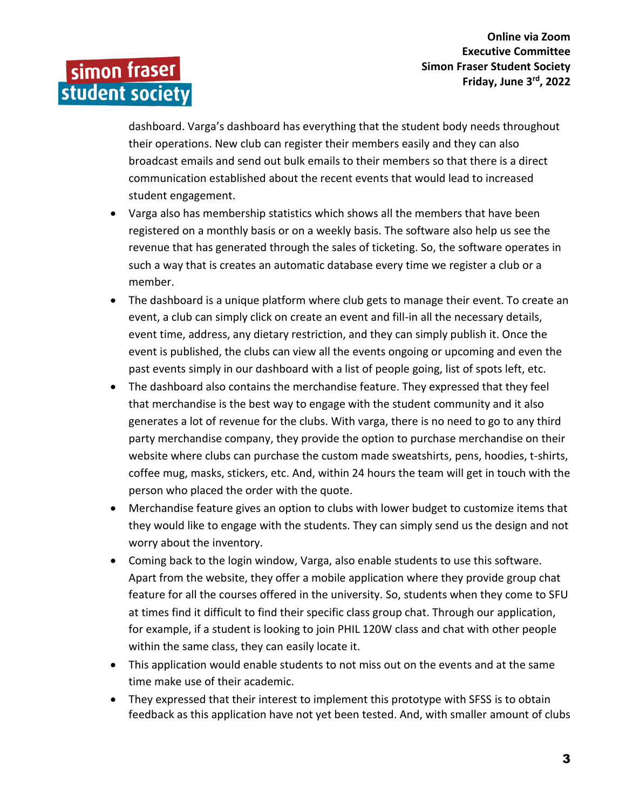simon fraser student society

> dashboard. Varga's dashboard has everything that the student body needs throughout their operations. New club can register their members easily and they can also broadcast emails and send out bulk emails to their members so that there is a direct communication established about the recent events that would lead to increased student engagement.

- Varga also has membership statistics which shows all the members that have been registered on a monthly basis or on a weekly basis. The software also help us see the revenue that has generated through the sales of ticketing. So, the software operates in such a way that is creates an automatic database every time we register a club or a member.
- The dashboard is a unique platform where club gets to manage their event. To create an event, a club can simply click on create an event and fill-in all the necessary details, event time, address, any dietary restriction, and they can simply publish it. Once the event is published, the clubs can view all the events ongoing or upcoming and even the past events simply in our dashboard with a list of people going, list of spots left, etc.
- The dashboard also contains the merchandise feature. They expressed that they feel that merchandise is the best way to engage with the student community and it also generates a lot of revenue for the clubs. With varga, there is no need to go to any third party merchandise company, they provide the option to purchase merchandise on their website where clubs can purchase the custom made sweatshirts, pens, hoodies, t-shirts, coffee mug, masks, stickers, etc. And, within 24 hours the team will get in touch with the person who placed the order with the quote.
- Merchandise feature gives an option to clubs with lower budget to customize items that they would like to engage with the students. They can simply send us the design and not worry about the inventory.
- Coming back to the login window, Varga, also enable students to use this software. Apart from the website, they offer a mobile application where they provide group chat feature for all the courses offered in the university. So, students when they come to SFU at times find it difficult to find their specific class group chat. Through our application, for example, if a student is looking to join PHIL 120W class and chat with other people within the same class, they can easily locate it.
- This application would enable students to not miss out on the events and at the same time make use of their academic.
- They expressed that their interest to implement this prototype with SFSS is to obtain feedback as this application have not yet been tested. And, with smaller amount of clubs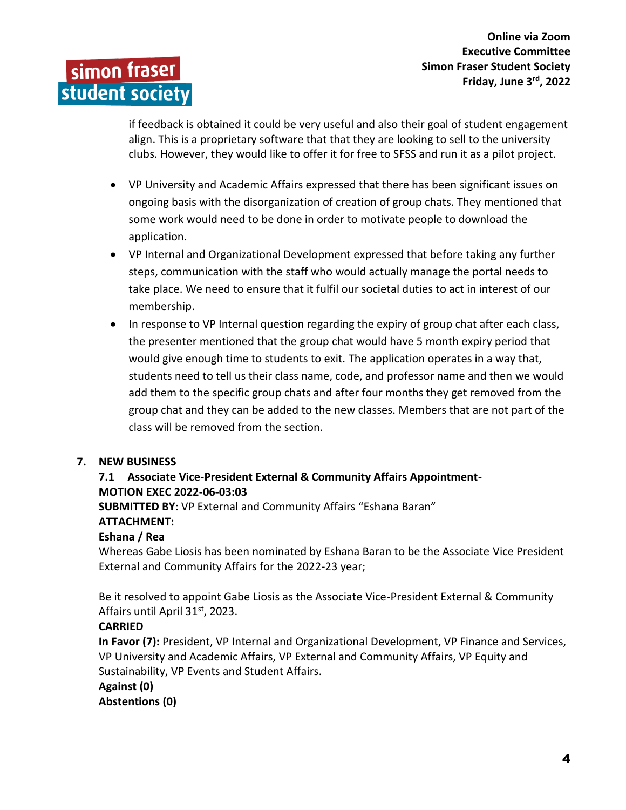simon fraser student society

**Online via Zoom Executive Committee Simon Fraser Student Society Friday, June 3 rd, 2022**

if feedback is obtained it could be very useful and also their goal of student engagement align. This is a proprietary software that that they are looking to sell to the university clubs. However, they would like to offer it for free to SFSS and run it as a pilot project.

- VP University and Academic Affairs expressed that there has been significant issues on ongoing basis with the disorganization of creation of group chats. They mentioned that some work would need to be done in order to motivate people to download the application.
- VP Internal and Organizational Development expressed that before taking any further steps, communication with the staff who would actually manage the portal needs to take place. We need to ensure that it fulfil our societal duties to act in interest of our membership.
- In response to VP Internal question regarding the expiry of group chat after each class, the presenter mentioned that the group chat would have 5 month expiry period that would give enough time to students to exit. The application operates in a way that, students need to tell us their class name, code, and professor name and then we would add them to the specific group chats and after four months they get removed from the group chat and they can be added to the new classes. Members that are not part of the class will be removed from the section.

# **7. NEW BUSINESS**

# **7.1 Associate Vice-President External & Community Affairs Appointment-MOTION EXEC 2022-06-03:03**

**SUBMITTED BY**: VP External and Community Affairs "Eshana Baran" **ATTACHMENT:**

# **Eshana / Rea**

Whereas Gabe Liosis has been nominated by Eshana Baran to be the Associate Vice President External and Community Affairs for the 2022-23 year;

Be it resolved to appoint Gabe Liosis as the Associate Vice-President External & Community Affairs until April 31st, 2023.

# **CARRIED**

**In Favor (7):** President, VP Internal and Organizational Development, VP Finance and Services, VP University and Academic Affairs, VP External and Community Affairs, VP Equity and Sustainability, VP Events and Student Affairs.

```
Against (0)
```
**Abstentions (0)**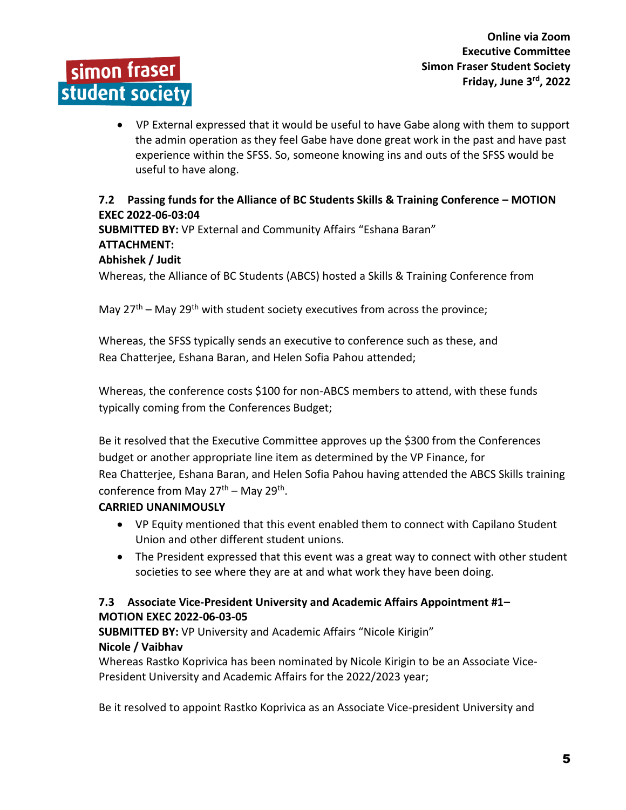VP External expressed that it would be useful to have Gabe along with them to support the admin operation as they feel Gabe have done great work in the past and have past experience within the SFSS. So, someone knowing ins and outs of the SFSS would be useful to have along.

# **7.2 Passing funds for the Alliance of BC Students Skills & Training Conference – MOTION EXEC 2022-06-03:04**

**SUBMITTED BY:** VP External and Community Affairs "Eshana Baran" **ATTACHMENT: Abhishek / Judit**

Whereas, the Alliance of BC Students (ABCS) hosted a Skills & Training Conference from

May  $27<sup>th</sup>$  – May  $29<sup>th</sup>$  with student society executives from across the province;

Whereas, the SFSS typically sends an executive to conference such as these, and Rea Chatterjee, Eshana Baran, and Helen Sofia Pahou attended;

Whereas, the conference costs \$100 for non-ABCS members to attend, with these funds typically coming from the Conferences Budget;

Be it resolved that the Executive Committee approves up the \$300 from the Conferences budget or another appropriate line item as determined by the VP Finance, for Rea Chatterjee, Eshana Baran, and Helen Sofia Pahou having attended the ABCS Skills training conference from May 27<sup>th</sup> – May 29<sup>th</sup>.

# **CARRIED UNANIMOUSLY**

simon fraser

student society

- VP Equity mentioned that this event enabled them to connect with Capilano Student Union and other different student unions.
- The President expressed that this event was a great way to connect with other student societies to see where they are at and what work they have been doing.

# **7.3 Associate Vice-President University and Academic Affairs Appointment #1– MOTION EXEC 2022-06-03-05**

**SUBMITTED BY:** VP University and Academic Affairs "Nicole Kirigin" **Nicole / Vaibhav**

Whereas Rastko Koprivica has been nominated by Nicole Kirigin to be an Associate Vice-President University and Academic Affairs for the 2022/2023 year;

Be it resolved to appoint Rastko Koprivica as an Associate Vice-president University and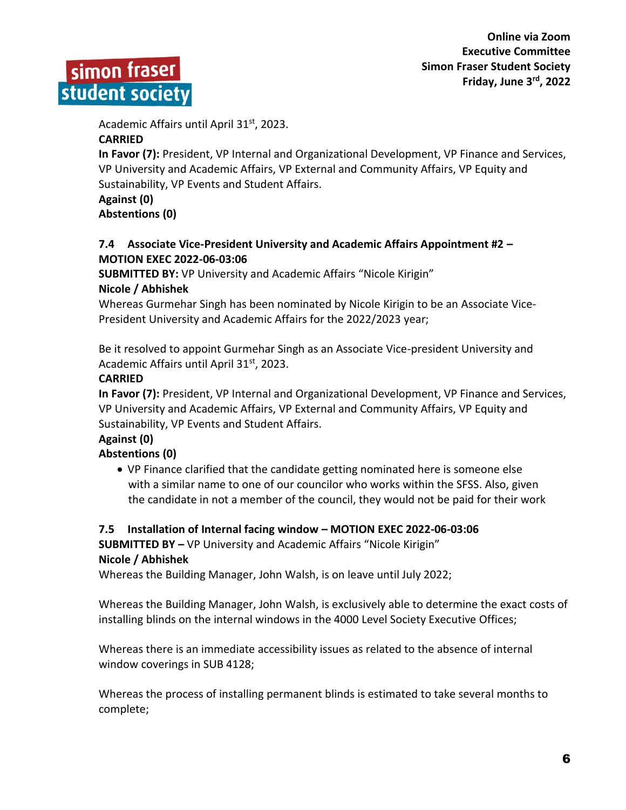



Academic Affairs until April 31st, 2023.

# **CARRIED**

**In Favor (7):** President, VP Internal and Organizational Development, VP Finance and Services, VP University and Academic Affairs, VP External and Community Affairs, VP Equity and Sustainability, VP Events and Student Affairs.

# **Against (0)**

**Abstentions (0)**

# **7.4 Associate Vice-President University and Academic Affairs Appointment #2 – MOTION EXEC 2022-06-03:06**

**SUBMITTED BY:** VP University and Academic Affairs "Nicole Kirigin"

# **Nicole / Abhishek**

Whereas Gurmehar Singh has been nominated by Nicole Kirigin to be an Associate Vice-President University and Academic Affairs for the 2022/2023 year;

Be it resolved to appoint Gurmehar Singh as an Associate Vice-president University and Academic Affairs until April 31st, 2023.

# **CARRIED**

**In Favor (7):** President, VP Internal and Organizational Development, VP Finance and Services, VP University and Academic Affairs, VP External and Community Affairs, VP Equity and Sustainability, VP Events and Student Affairs.

# **Against (0)**

# **Abstentions (0)**

 VP Finance clarified that the candidate getting nominated here is someone else with a similar name to one of our councilor who works within the SFSS. Also, given the candidate in not a member of the council, they would not be paid for their work

# **7.5 Installation of Internal facing window – MOTION EXEC 2022-06-03:06 SUBMITTED BY –** VP University and Academic Affairs "Nicole Kirigin"

# **Nicole / Abhishek**

Whereas the Building Manager, John Walsh, is on leave until July 2022;

Whereas the Building Manager, John Walsh, is exclusively able to determine the exact costs of installing blinds on the internal windows in the 4000 Level Society Executive Offices;

Whereas there is an immediate accessibility issues as related to the absence of internal window coverings in SUB 4128;

Whereas the process of installing permanent blinds is estimated to take several months to complete;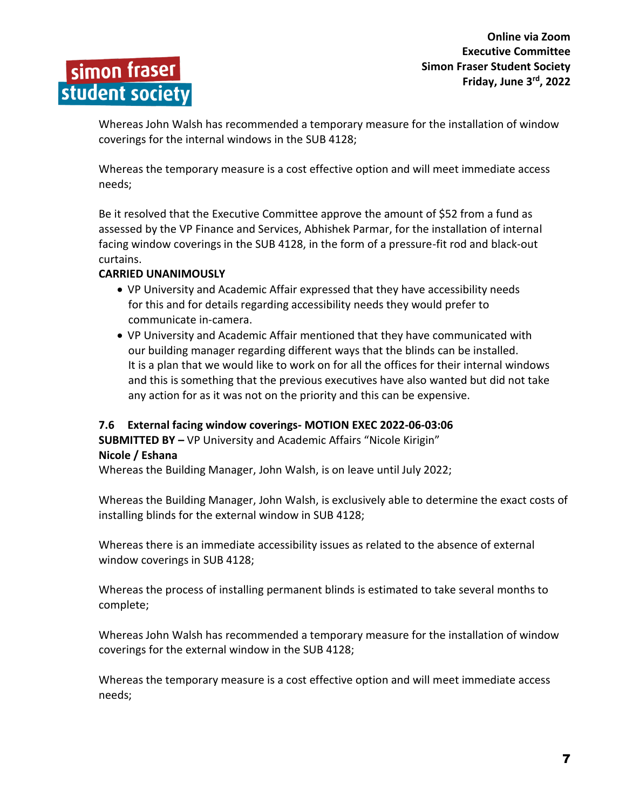

Whereas John Walsh has recommended a temporary measure for the installation of window coverings for the internal windows in the SUB 4128;

Whereas the temporary measure is a cost effective option and will meet immediate access needs;

Be it resolved that the Executive Committee approve the amount of \$52 from a fund as assessed by the VP Finance and Services, Abhishek Parmar, for the installation of internal facing window coverings in the SUB 4128, in the form of a pressure-fit rod and black-out curtains.

# **CARRIED UNANIMOUSLY**

- VP University and Academic Affair expressed that they have accessibility needs for this and for details regarding accessibility needs they would prefer to communicate in-camera.
- VP University and Academic Affair mentioned that they have communicated with our building manager regarding different ways that the blinds can be installed. It is a plan that we would like to work on for all the offices for their internal windows and this is something that the previous executives have also wanted but did not take any action for as it was not on the priority and this can be expensive.

# **7.6 External facing window coverings- MOTION EXEC 2022-06-03:06**

**SUBMITTED BY –** VP University and Academic Affairs "Nicole Kirigin" **Nicole / Eshana**

Whereas the Building Manager, John Walsh, is on leave until July 2022;

Whereas the Building Manager, John Walsh, is exclusively able to determine the exact costs of installing blinds for the external window in SUB 4128;

Whereas there is an immediate accessibility issues as related to the absence of external window coverings in SUB 4128;

Whereas the process of installing permanent blinds is estimated to take several months to complete;

Whereas John Walsh has recommended a temporary measure for the installation of window coverings for the external window in the SUB 4128;

Whereas the temporary measure is a cost effective option and will meet immediate access needs;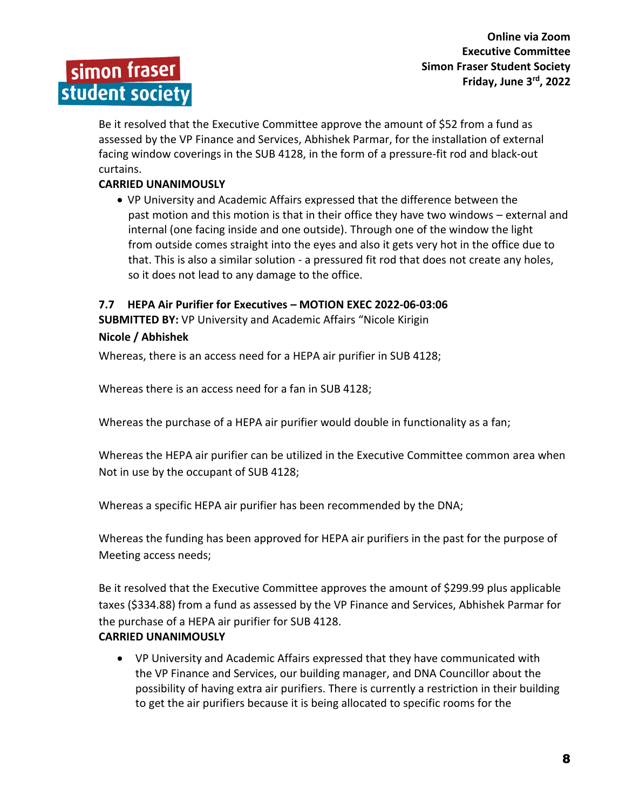

Be it resolved that the Executive Committee approve the amount of \$52 from a fund as assessed by the VP Finance and Services, Abhishek Parmar, for the installation of external facing window coverings in the SUB 4128, in the form of a pressure-fit rod and black-out curtains.

# **CARRIED UNANIMOUSLY**

 VP University and Academic Affairs expressed that the difference between the past motion and this motion is that in their office they have two windows – external and internal (one facing inside and one outside). Through one of the window the light from outside comes straight into the eyes and also it gets very hot in the office due to that. This is also a similar solution - a pressured fit rod that does not create any holes, so it does not lead to any damage to the office.

# **7.7 HEPA Air Purifier for Executives – MOTION EXEC 2022-06-03:06**

**SUBMITTED BY:** VP University and Academic Affairs "Nicole Kirigin **Nicole / Abhishek**

Whereas, there is an access need for a HEPA air purifier in SUB 4128;

Whereas there is an access need for a fan in SUB 4128;

Whereas the purchase of a HEPA air purifier would double in functionality as a fan;

Whereas the HEPA air purifier can be utilized in the Executive Committee common area when Not in use by the occupant of SUB 4128;

Whereas a specific HEPA air purifier has been recommended by the DNA;

Whereas the funding has been approved for HEPA air purifiers in the past for the purpose of Meeting access needs;

Be it resolved that the Executive Committee approves the amount of \$299.99 plus applicable taxes (\$334.88) from a fund as assessed by the VP Finance and Services, Abhishek Parmar for the purchase of a HEPA air purifier for SUB 4128. **CARRIED UNANIMOUSLY**

 VP University and Academic Affairs expressed that they have communicated with the VP Finance and Services, our building manager, and DNA Councillor about the possibility of having extra air purifiers. There is currently a restriction in their building to get the air purifiers because it is being allocated to specific rooms for the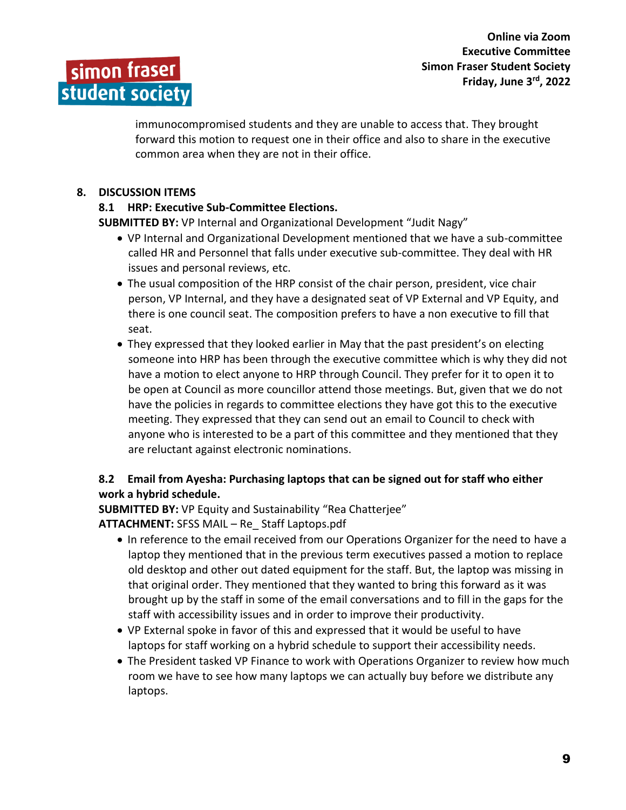

immunocompromised students and they are unable to access that. They brought forward this motion to request one in their office and also to share in the executive common area when they are not in their office.

# **8. DISCUSSION ITEMS**

# **8.1 HRP: Executive Sub-Committee Elections.**

**SUBMITTED BY:** VP Internal and Organizational Development "Judit Nagy"

- VP Internal and Organizational Development mentioned that we have a sub-committee called HR and Personnel that falls under executive sub-committee. They deal with HR issues and personal reviews, etc.
- The usual composition of the HRP consist of the chair person, president, vice chair person, VP Internal, and they have a designated seat of VP External and VP Equity, and there is one council seat. The composition prefers to have a non executive to fill that seat.
- They expressed that they looked earlier in May that the past president's on electing someone into HRP has been through the executive committee which is why they did not have a motion to elect anyone to HRP through Council. They prefer for it to open it to be open at Council as more councillor attend those meetings. But, given that we do not have the policies in regards to committee elections they have got this to the executive meeting. They expressed that they can send out an email to Council to check with anyone who is interested to be a part of this committee and they mentioned that they are reluctant against electronic nominations.

# **8.2 Email from Ayesha: Purchasing laptops that can be signed out for staff who either work a hybrid schedule.**

**SUBMITTED BY:** VP Equity and Sustainability "Rea Chatterjee"

**ATTACHMENT:** SFSS MAIL – Re\_ Staff Laptops.pdf

- In reference to the email received from our Operations Organizer for the need to have a laptop they mentioned that in the previous term executives passed a motion to replace old desktop and other out dated equipment for the staff. But, the laptop was missing in that original order. They mentioned that they wanted to bring this forward as it was brought up by the staff in some of the email conversations and to fill in the gaps for the staff with accessibility issues and in order to improve their productivity.
- VP External spoke in favor of this and expressed that it would be useful to have laptops for staff working on a hybrid schedule to support their accessibility needs.
- The President tasked VP Finance to work with Operations Organizer to review how much room we have to see how many laptops we can actually buy before we distribute any laptops.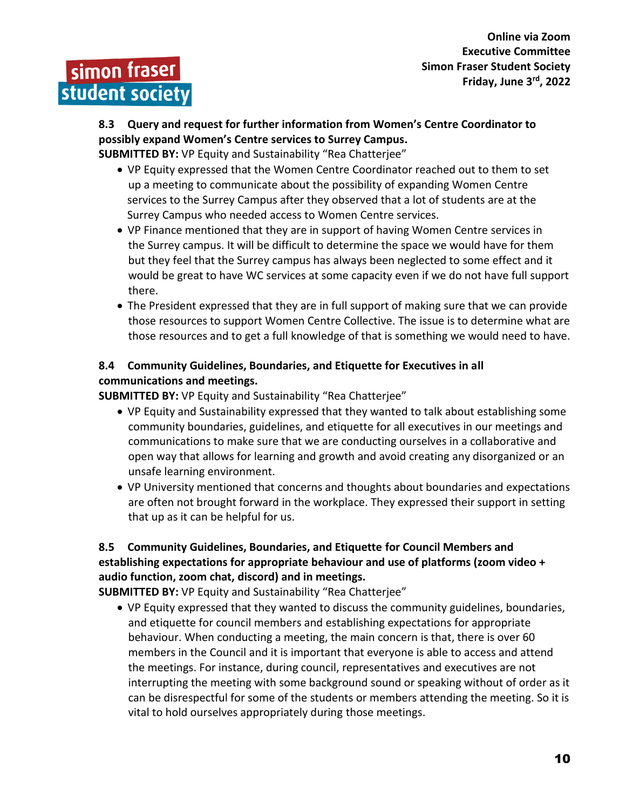# **8.3 Query and request for further information from Women's Centre Coordinator to possibly expand Women's Centre services to Surrey Campus.**

**SUBMITTED BY:** VP Equity and Sustainability "Rea Chatterjee"

- VP Equity expressed that the Women Centre Coordinator reached out to them to set up a meeting to communicate about the possibility of expanding Women Centre services to the Surrey Campus after they observed that a lot of students are at the Surrey Campus who needed access to Women Centre services.
- VP Finance mentioned that they are in support of having Women Centre services in the Surrey campus. It will be difficult to determine the space we would have for them but they feel that the Surrey campus has always been neglected to some effect and it would be great to have WC services at some capacity even if we do not have full support there.
- The President expressed that they are in full support of making sure that we can provide those resources to support Women Centre Collective. The issue is to determine what are those resources and to get a full knowledge of that is something we would need to have.

# **8.4 Community Guidelines, Boundaries, and Etiquette for Executives in all communications and meetings.**

**SUBMITTED BY:** VP Equity and Sustainability "Rea Chatterjee"

- VP Equity and Sustainability expressed that they wanted to talk about establishing some community boundaries, guidelines, and etiquette for all executives in our meetings and communications to make sure that we are conducting ourselves in a collaborative and open way that allows for learning and growth and avoid creating any disorganized or an unsafe learning environment.
- VP University mentioned that concerns and thoughts about boundaries and expectations are often not brought forward in the workplace. They expressed their support in setting that up as it can be helpful for us.

# **8.5 Community Guidelines, Boundaries, and Etiquette for Council Members and establishing expectations for appropriate behaviour and use of platforms (zoom video + audio function, zoom chat, discord) and in meetings.**

**SUBMITTED BY:** VP Equity and Sustainability "Rea Chatterjee"

 VP Equity expressed that they wanted to discuss the community guidelines, boundaries, and etiquette for council members and establishing expectations for appropriate behaviour. When conducting a meeting, the main concern is that, there is over 60 members in the Council and it is important that everyone is able to access and attend the meetings. For instance, during council, representatives and executives are not interrupting the meeting with some background sound or speaking without of order as it can be disrespectful for some of the students or members attending the meeting. So it is vital to hold ourselves appropriately during those meetings.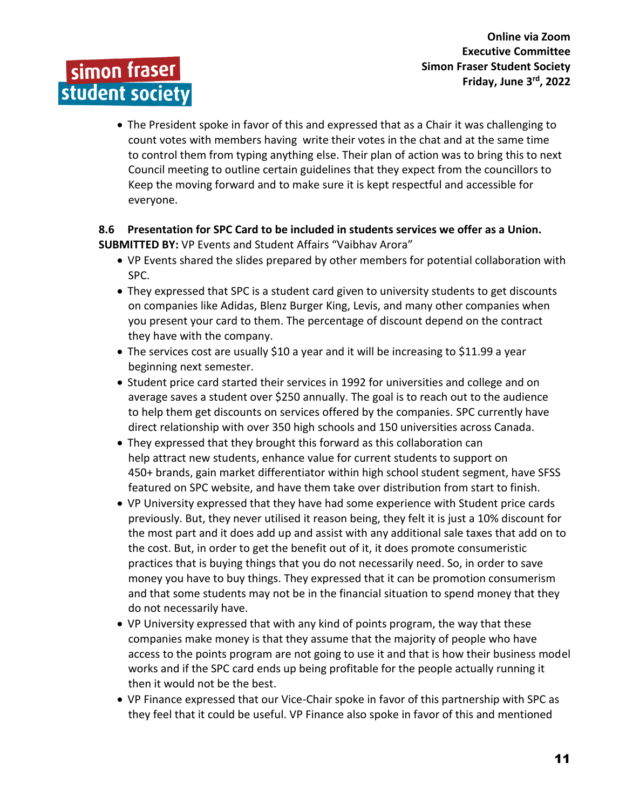

 The President spoke in favor of this and expressed that as a Chair it was challenging to count votes with members having write their votes in the chat and at the same time to control them from typing anything else. Their plan of action was to bring this to next Council meeting to outline certain guidelines that they expect from the councillors to Keep the moving forward and to make sure it is kept respectful and accessible for everyone.

# **8.6 Presentation for SPC Card to be included in students services we offer as a Union. SUBMITTED BY:** VP Events and Student Affairs "Vaibhav Arora"

- VP Events shared the slides prepared by other members for potential collaboration with SPC.
- They expressed that SPC is a student card given to university students to get discounts on companies like Adidas, Blenz Burger King, Levis, and many other companies when you present your card to them. The percentage of discount depend on the contract they have with the company.
- The services cost are usually \$10 a year and it will be increasing to \$11.99 a year beginning next semester.
- Student price card started their services in 1992 for universities and college and on average saves a student over \$250 annually. The goal is to reach out to the audience to help them get discounts on services offered by the companies. SPC currently have direct relationship with over 350 high schools and 150 universities across Canada.
- They expressed that they brought this forward as this collaboration can help attract new students, enhance value for current students to support on 450+ brands, gain market differentiator within high school student segment, have SFSS featured on SPC website, and have them take over distribution from start to finish.
- VP University expressed that they have had some experience with Student price cards previously. But, they never utilised it reason being, they felt it is just a 10% discount for the most part and it does add up and assist with any additional sale taxes that add on to the cost. But, in order to get the benefit out of it, it does promote consumeristic practices that is buying things that you do not necessarily need. So, in order to save money you have to buy things. They expressed that it can be promotion consumerism and that some students may not be in the financial situation to spend money that they do not necessarily have.
- VP University expressed that with any kind of points program, the way that these companies make money is that they assume that the majority of people who have access to the points program are not going to use it and that is how their business model works and if the SPC card ends up being profitable for the people actually running it then it would not be the best.
- VP Finance expressed that our Vice-Chair spoke in favor of this partnership with SPC as they feel that it could be useful. VP Finance also spoke in favor of this and mentioned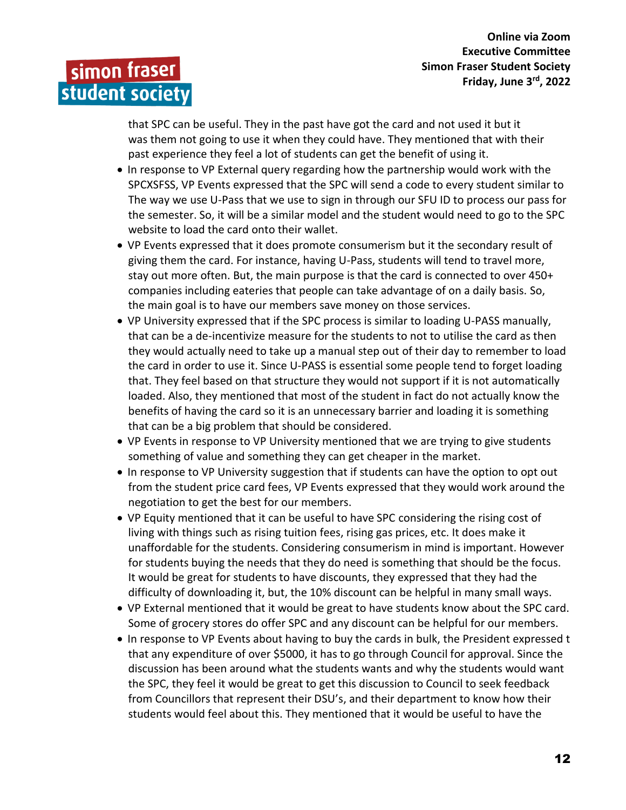simon fraser student society

> that SPC can be useful. They in the past have got the card and not used it but it was them not going to use it when they could have. They mentioned that with their past experience they feel a lot of students can get the benefit of using it.

- In response to VP External query regarding how the partnership would work with the SPCXSFSS, VP Events expressed that the SPC will send a code to every student similar to The way we use U-Pass that we use to sign in through our SFU ID to process our pass for the semester. So, it will be a similar model and the student would need to go to the SPC website to load the card onto their wallet.
- VP Events expressed that it does promote consumerism but it the secondary result of giving them the card. For instance, having U-Pass, students will tend to travel more, stay out more often. But, the main purpose is that the card is connected to over 450+ companies including eateries that people can take advantage of on a daily basis. So, the main goal is to have our members save money on those services.
- VP University expressed that if the SPC process is similar to loading U-PASS manually, that can be a de-incentivize measure for the students to not to utilise the card as then they would actually need to take up a manual step out of their day to remember to load the card in order to use it. Since U-PASS is essential some people tend to forget loading that. They feel based on that structure they would not support if it is not automatically loaded. Also, they mentioned that most of the student in fact do not actually know the benefits of having the card so it is an unnecessary barrier and loading it is something that can be a big problem that should be considered.
- VP Events in response to VP University mentioned that we are trying to give students something of value and something they can get cheaper in the market.
- In response to VP University suggestion that if students can have the option to opt out from the student price card fees, VP Events expressed that they would work around the negotiation to get the best for our members.
- VP Equity mentioned that it can be useful to have SPC considering the rising cost of living with things such as rising tuition fees, rising gas prices, etc. It does make it unaffordable for the students. Considering consumerism in mind is important. However for students buying the needs that they do need is something that should be the focus. It would be great for students to have discounts, they expressed that they had the difficulty of downloading it, but, the 10% discount can be helpful in many small ways.
- VP External mentioned that it would be great to have students know about the SPC card. Some of grocery stores do offer SPC and any discount can be helpful for our members.
- In response to VP Events about having to buy the cards in bulk, the President expressed t that any expenditure of over \$5000, it has to go through Council for approval. Since the discussion has been around what the students wants and why the students would want the SPC, they feel it would be great to get this discussion to Council to seek feedback from Councillors that represent their DSU's, and their department to know how their students would feel about this. They mentioned that it would be useful to have the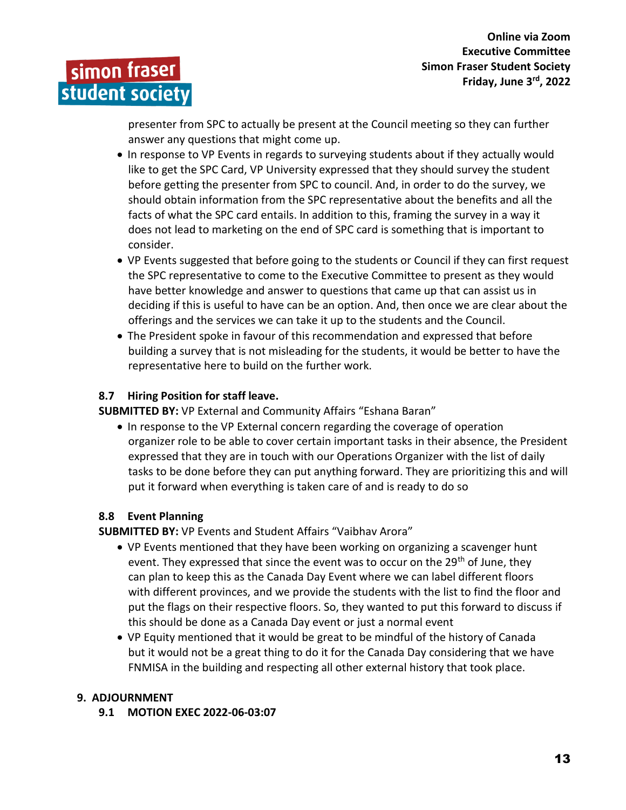

 presenter from SPC to actually be present at the Council meeting so they can further answer any questions that might come up.

- In response to VP Events in regards to surveying students about if they actually would like to get the SPC Card, VP University expressed that they should survey the student before getting the presenter from SPC to council. And, in order to do the survey, we should obtain information from the SPC representative about the benefits and all the facts of what the SPC card entails. In addition to this, framing the survey in a way it does not lead to marketing on the end of SPC card is something that is important to consider.
- VP Events suggested that before going to the students or Council if they can first request the SPC representative to come to the Executive Committee to present as they would have better knowledge and answer to questions that came up that can assist us in deciding if this is useful to have can be an option. And, then once we are clear about the offerings and the services we can take it up to the students and the Council.
- The President spoke in favour of this recommendation and expressed that before building a survey that is not misleading for the students, it would be better to have the representative here to build on the further work.

# **8.7 Hiring Position for staff leave.**

**SUBMITTED BY:** VP External and Community Affairs "Eshana Baran"

• In response to the VP External concern regarding the coverage of operation organizer role to be able to cover certain important tasks in their absence, the President expressed that they are in touch with our Operations Organizer with the list of daily tasks to be done before they can put anything forward. They are prioritizing this and will put it forward when everything is taken care of and is ready to do so

# **8.8 Event Planning**

**SUBMITTED BY:** VP Events and Student Affairs "Vaibhav Arora"

- VP Events mentioned that they have been working on organizing a scavenger hunt event. They expressed that since the event was to occur on the  $29<sup>th</sup>$  of June, they can plan to keep this as the Canada Day Event where we can label different floors with different provinces, and we provide the students with the list to find the floor and put the flags on their respective floors. So, they wanted to put this forward to discuss if this should be done as a Canada Day event or just a normal event
- VP Equity mentioned that it would be great to be mindful of the history of Canada but it would not be a great thing to do it for the Canada Day considering that we have FNMISA in the building and respecting all other external history that took place.

# **9. ADJOURNMENT**

**9.1 MOTION EXEC 2022-06-03:07**